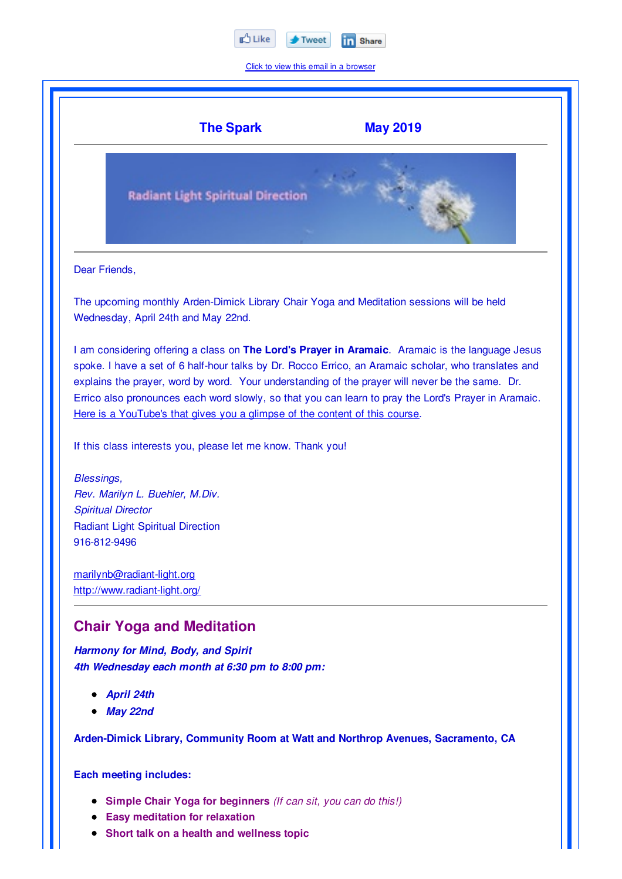

Click to view this email in a browser



- **Easy meditation for relaxation**
- **Short talk on a health and wellness topic**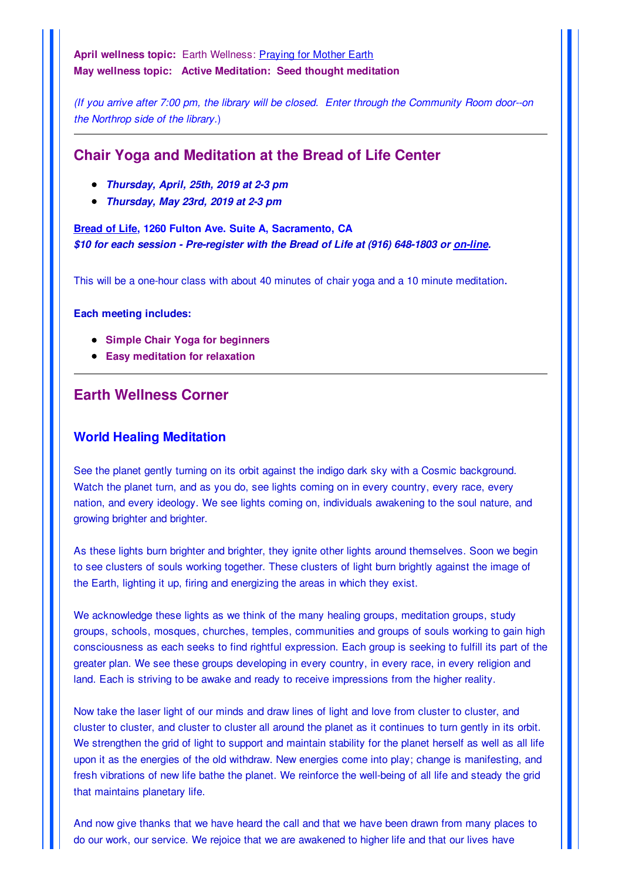**April wellness topic:** Earth Wellness: Praying for Mother Earth **May wellness topic: Active Meditation: Seed thought meditation**

*(If you arrive after 7:00 pm, the library will be closed. Enter through the Community Room door--on the Northrop side of the library.*)

# **Chair Yoga and Meditation at the Bread of Life Center**

- *Thursday, April, 25th, 2019 at 2-3 pm*
- *Thursday, May 23rd, 2019 at 2-3 pm*

**Bread of Life, 1260 Fulton Ave. Suite A, Sacramento, CA** *\$10 for each session - Pre-register with the Bread of Life at (916) 648-1803 or on-line.*

This will be a one-hour class with about 40 minutes of chair yoga and a 10 minute meditation.

**Each meeting includes:**

- **Simple Chair Yoga for beginners**
- **Easy meditation for relaxation**

## **Earth Wellness Corner**

#### **World Healing Meditation**

See the planet gently turning on its orbit against the indigo dark sky with a Cosmic background. Watch the planet turn, and as you do, see lights coming on in every country, every race, every nation, and every ideology. We see lights coming on, individuals awakening to the soul nature, and growing brighter and brighter.

As these lights burn brighter and brighter, they ignite other lights around themselves. Soon we begin to see clusters of souls working together. These clusters of light burn brightly against the image of the Earth, lighting it up, firing and energizing the areas in which they exist.

We acknowledge these lights as we think of the many healing groups, meditation groups, study groups, schools, mosques, churches, temples, communities and groups of souls working to gain high consciousness as each seeks to find rightful expression. Each group is seeking to fulfill its part of the greater plan. We see these groups developing in every country, in every race, in every religion and land. Each is striving to be awake and ready to receive impressions from the higher reality.

Now take the laser light of our minds and draw lines of light and love from cluster to cluster, and cluster to cluster, and cluster to cluster all around the planet as it continues to turn gently in its orbit. We strengthen the grid of light to support and maintain stability for the planet herself as well as all life upon it as the energies of the old withdraw. New energies come into play; change is manifesting, and fresh vibrations of new life bathe the planet. We reinforce the well-being of all life and steady the grid that maintains planetary life.

And now give thanks that we have heard the call and that we have been drawn from many places to do our work, our service. We rejoice that we are awakened to higher life and that our lives have